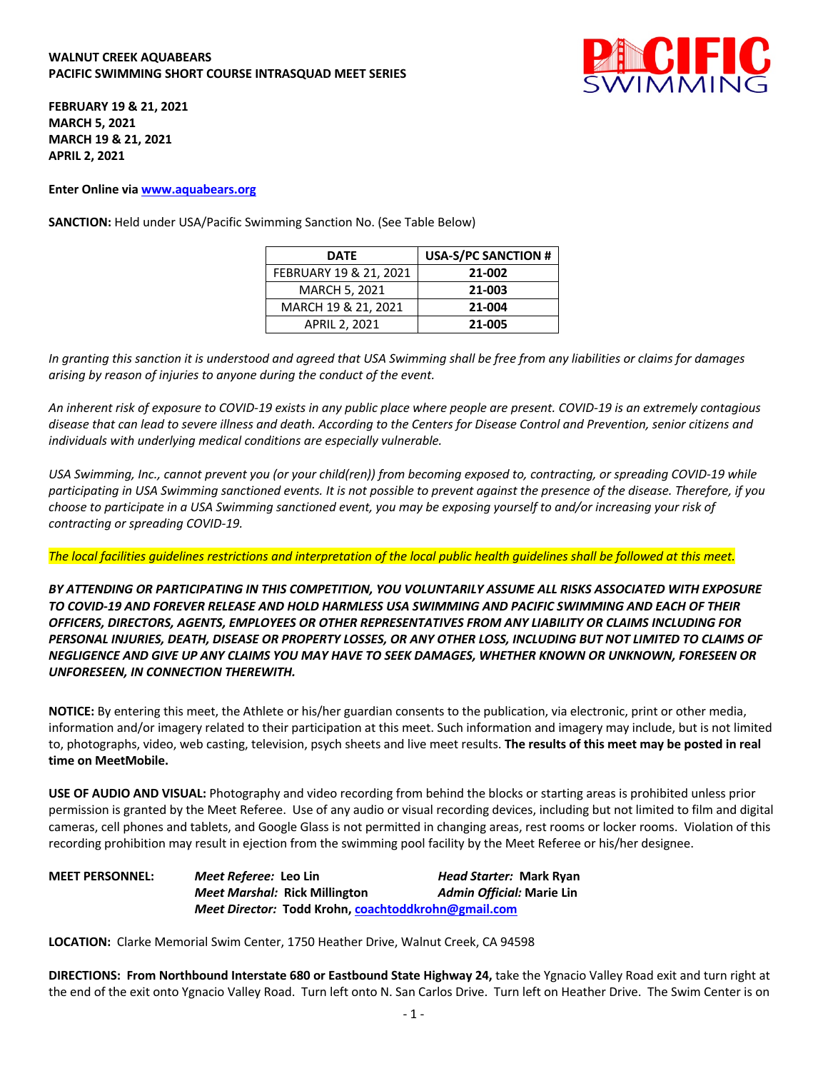## **WALNUT CREEK AQUABEARS PACIFIC SWIMMING SHORT COURSE INTRASQUAD MEET SERIES**



**FEBRUARY 19 & 21, 2021 MARCH 5, 2021 MARCH 19 & 21, 2021 APRIL 2, 2021**

**Enter Online via www.aquabears.org**

**SANCTION:** Held under USA/Pacific Swimming Sanction No. (See Table Below)

| <b>DATE</b>            | <b>USA-S/PC SANCTION #</b> |
|------------------------|----------------------------|
| FEBRUARY 19 & 21, 2021 | 21-002                     |
| <b>MARCH 5, 2021</b>   | 21-003                     |
| MARCH 19 & 21, 2021    | 21-004                     |
| <b>APRIL 2, 2021</b>   | 21-005                     |

*In granting this sanction it is understood and agreed that USA Swimming shall be free from any liabilities or claims for damages arising by reason of injuries to anyone during the conduct of the event.* 

*An inherent risk of exposure to COVID-19 exists in any public place where people are present. COVID-19 is an extremely contagious disease that can lead to severe illness and death. According to the Centers for Disease Control and Prevention, senior citizens and individuals with underlying medical conditions are especially vulnerable.*

*USA Swimming, Inc., cannot prevent you (or your child(ren)) from becoming exposed to, contracting, or spreading COVID-19 while participating in USA Swimming sanctioned events. It is not possible to prevent against the presence of the disease. Therefore, if you choose to participate in a USA Swimming sanctioned event, you may be exposing yourself to and/or increasing your risk of contracting or spreading COVID-19.*

*The local facilities guidelines restrictions and interpretation of the local public health guidelines shall be followed at this meet.* 

*BY ATTENDING OR PARTICIPATING IN THIS COMPETITION, YOU VOLUNTARILY ASSUME ALL RISKS ASSOCIATED WITH EXPOSURE TO COVID-19 AND FOREVER RELEASE AND HOLD HARMLESS USA SWIMMING AND PACIFIC SWIMMING AND EACH OF THEIR OFFICERS, DIRECTORS, AGENTS, EMPLOYEES OR OTHER REPRESENTATIVES FROM ANY LIABILITY OR CLAIMS INCLUDING FOR PERSONAL INJURIES, DEATH, DISEASE OR PROPERTY LOSSES, OR ANY OTHER LOSS, INCLUDING BUT NOT LIMITED TO CLAIMS OF NEGLIGENCE AND GIVE UP ANY CLAIMS YOU MAY HAVE TO SEEK DAMAGES, WHETHER KNOWN OR UNKNOWN, FORESEEN OR UNFORESEEN, IN CONNECTION THEREWITH.*

**NOTICE:** By entering this meet, the Athlete or his/her guardian consents to the publication, via electronic, print or other media, information and/or imagery related to their participation at this meet. Such information and imagery may include, but is not limited to, photographs, video, web casting, television, psych sheets and live meet results. **The results of this meet may be posted in real time on MeetMobile.**

**USE OF AUDIO AND VISUAL:** Photography and video recording from behind the blocks or starting areas is prohibited unless prior permission is granted by the Meet Referee. Use of any audio or visual recording devices, including but not limited to film and digital cameras, cell phones and tablets, and Google Glass is not permitted in changing areas, rest rooms or locker rooms. Violation of this recording prohibition may result in ejection from the swimming pool facility by the Meet Referee or his/her designee.

**MEET PERSONNEL:** *Meet Referee:* **Leo Lin** *Head Starter:* **Mark Ryan** *Meet Marshal:* **Rick Millington** *Admin Official:* **Marie Lin** *Meet Director:* **Todd Krohn, coachtoddkrohn@gmail.com**

**LOCATION:** Clarke Memorial Swim Center, 1750 Heather Drive, Walnut Creek, CA 94598

**DIRECTIONS: From Northbound Interstate 680 or Eastbound State Highway 24,** take the Ygnacio Valley Road exit and turn right at the end of the exit onto Ygnacio Valley Road. Turn left onto N. San Carlos Drive. Turn left on Heather Drive. The Swim Center is on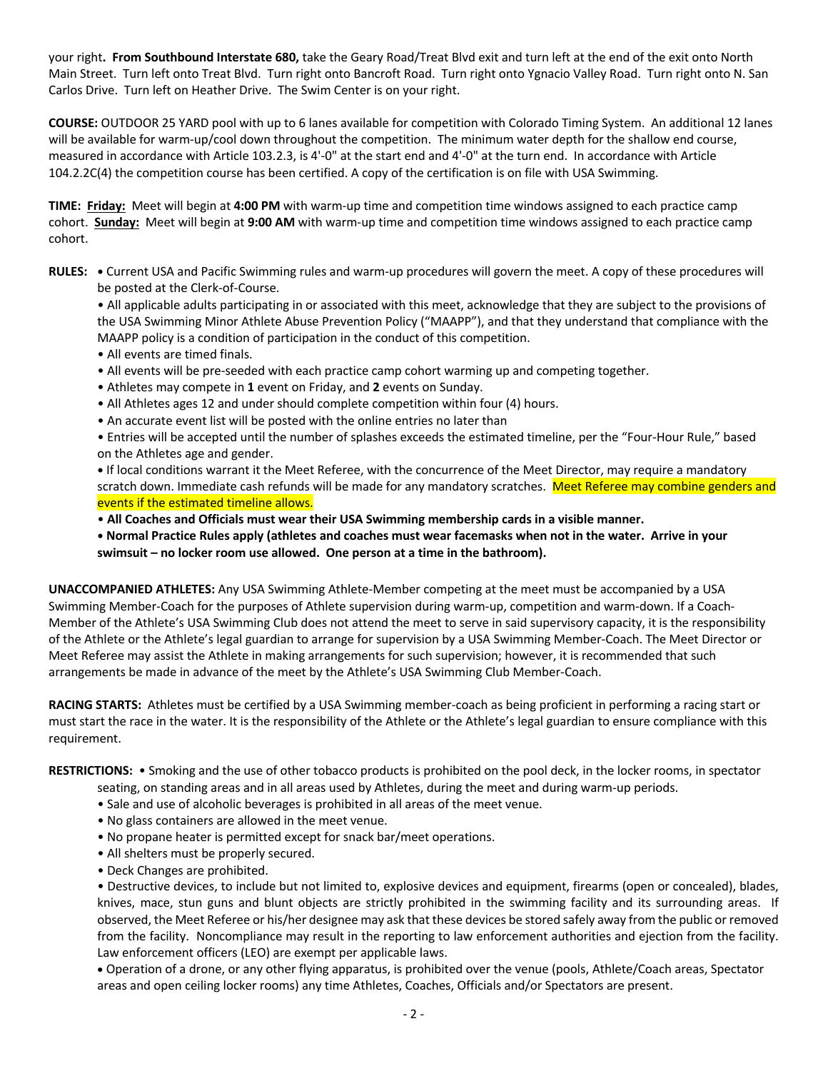your right**. From Southbound Interstate 680,** take the Geary Road/Treat Blvd exit and turn left at the end of the exit onto North Main Street. Turn left onto Treat Blvd. Turn right onto Bancroft Road. Turn right onto Ygnacio Valley Road. Turn right onto N. San Carlos Drive. Turn left on Heather Drive. The Swim Center is on your right.

**COURSE:** OUTDOOR 25 YARD pool with up to 6 lanes available for competition with Colorado Timing System. An additional 12 lanes will be available for warm-up/cool down throughout the competition. The minimum water depth for the shallow end course, measured in accordance with Article 103.2.3, is 4'-0" at the start end and 4'-0" at the turn end. In accordance with Article 104.2.2C(4) the competition course has been certified. A copy of the certification is on file with USA Swimming.

**TIME: Friday:** Meet will begin at **4:00 PM** with warm-up time and competition time windows assigned to each practice camp cohort. **Sunday:** Meet will begin at **9:00 AM** with warm-up time and competition time windows assigned to each practice camp cohort.

**RULES: •** Current USA and Pacific Swimming rules and warm-up procedures will govern the meet. A copy of these procedures will be posted at the Clerk-of-Course.

• All applicable adults participating in or associated with this meet, acknowledge that they are subject to the provisions of the USA Swimming Minor Athlete Abuse Prevention Policy ("MAAPP"), and that they understand that compliance with the MAAPP policy is a condition of participation in the conduct of this competition.

- All events are timed finals.
- All events will be pre-seeded with each practice camp cohort warming up and competing together.
- Athletes may compete in **1** event on Friday, and **2** events on Sunday.
- All Athletes ages 12 and under should complete competition within four (4) hours.
- An accurate event list will be posted with the online entries no later than

• Entries will be accepted until the number of splashes exceeds the estimated timeline, per the "Four-Hour Rule," based on the Athletes age and gender.

**•** If local conditions warrant it the Meet Referee, with the concurrence of the Meet Director, may require a mandatory scratch down. Immediate cash refunds will be made for any mandatory scratches. Meet Referee may combine genders and events if the estimated timeline allows.

• **All Coaches and Officials must wear their USA Swimming membership cards in a visible manner.** 

**• Normal Practice Rules apply (athletes and coaches must wear facemasks when not in the water. Arrive in your swimsuit – no locker room use allowed. One person at a time in the bathroom).**

**UNACCOMPANIED ATHLETES:** Any USA Swimming Athlete-Member competing at the meet must be accompanied by a USA Swimming Member-Coach for the purposes of Athlete supervision during warm-up, competition and warm-down. If a Coach-Member of the Athlete's USA Swimming Club does not attend the meet to serve in said supervisory capacity, it is the responsibility of the Athlete or the Athlete's legal guardian to arrange for supervision by a USA Swimming Member-Coach. The Meet Director or Meet Referee may assist the Athlete in making arrangements for such supervision; however, it is recommended that such arrangements be made in advance of the meet by the Athlete's USA Swimming Club Member-Coach.

**RACING STARTS:** Athletes must be certified by a USA Swimming member-coach as being proficient in performing a racing start or must start the race in the water. It is the responsibility of the Athlete or the Athlete's legal guardian to ensure compliance with this requirement.

**RESTRICTIONS:** • Smoking and the use of other tobacco products is prohibited on the pool deck, in the locker rooms, in spectator

- seating, on standing areas and in all areas used by Athletes, during the meet and during warm-up periods.
- Sale and use of alcoholic beverages is prohibited in all areas of the meet venue.
- No glass containers are allowed in the meet venue.
- No propane heater is permitted except for snack bar/meet operations.
- All shelters must be properly secured.
- Deck Changes are prohibited.

• Destructive devices, to include but not limited to, explosive devices and equipment, firearms (open or concealed), blades, knives, mace, stun guns and blunt objects are strictly prohibited in the swimming facility and its surrounding areas. If observed, the Meet Referee or his/her designee may ask that these devices be stored safely away from the public or removed from the facility. Noncompliance may result in the reporting to law enforcement authorities and ejection from the facility. Law enforcement officers (LEO) are exempt per applicable laws.

• Operation of a drone, or any other flying apparatus, is prohibited over the venue (pools, Athlete/Coach areas, Spectator areas and open ceiling locker rooms) any time Athletes, Coaches, Officials and/or Spectators are present.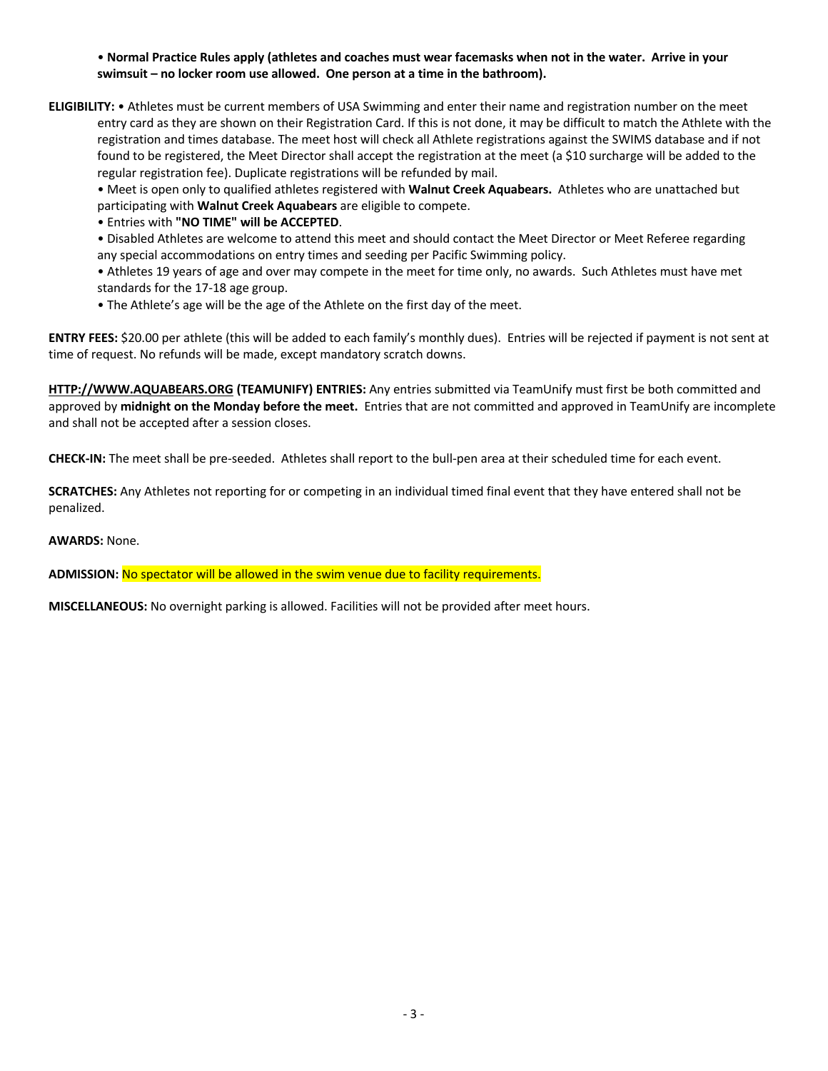• **Normal Practice Rules apply (athletes and coaches must wear facemasks when not in the water. Arrive in your swimsuit – no locker room use allowed. One person at a time in the bathroom).**

**ELIGIBILITY:** • Athletes must be current members of USA Swimming and enter their name and registration number on the meet entry card as they are shown on their Registration Card. If this is not done, it may be difficult to match the Athlete with the registration and times database. The meet host will check all Athlete registrations against the SWIMS database and if not found to be registered, the Meet Director shall accept the registration at the meet (a \$10 surcharge will be added to the regular registration fee). Duplicate registrations will be refunded by mail.

• Meet is open only to qualified athletes registered with **Walnut Creek Aquabears.** Athletes who are unattached but participating with **Walnut Creek Aquabears** are eligible to compete.

• Entries with **"NO TIME" will be ACCEPTED**.

• Disabled Athletes are welcome to attend this meet and should contact the Meet Director or Meet Referee regarding any special accommodations on entry times and seeding per Pacific Swimming policy.

• Athletes 19 years of age and over may compete in the meet for time only, no awards. Such Athletes must have met standards for the 17-18 age group.

• The Athlete's age will be the age of the Athlete on the first day of the meet.

**ENTRY FEES:** \$20.00 per athlete (this will be added to each family's monthly dues). Entries will be rejected if payment is not sent at time of request. No refunds will be made, except mandatory scratch downs.

**HTTP://WWW.AQUABEARS.ORG (TEAMUNIFY) ENTRIES:** Any entries submitted via TeamUnify must first be both committed and approved by **midnight on the Monday before the meet.** Entries that are not committed and approved in TeamUnify are incomplete and shall not be accepted after a session closes.

**CHECK-IN:** The meet shall be pre-seeded. Athletes shall report to the bull-pen area at their scheduled time for each event.

**SCRATCHES:** Any Athletes not reporting for or competing in an individual timed final event that they have entered shall not be penalized.

**AWARDS:** None.

**ADMISSION:** No spectator will be allowed in the swim venue due to facility requirements.

**MISCELLANEOUS:** No overnight parking is allowed. Facilities will not be provided after meet hours.